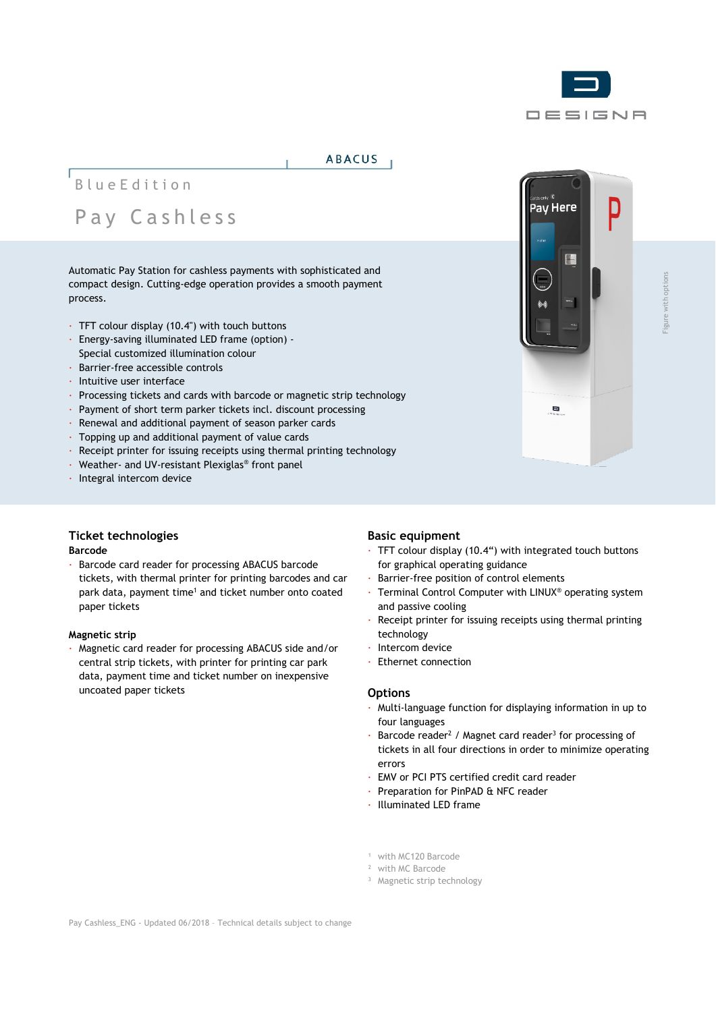

## **ABACUS**

# BlueEdition Pay Cashless

Automatic Pay Station for cashless payments with sophisticated and compact design. Cutting-edge operation provides a smooth payment process.

- · TFT colour display (10.4") with touch buttons
- · Energy-saving illuminated LED frame (option) Special customized illumination colour
- · Barrier-free accessible controls
- · Intuitive user interface
- · Processing tickets and cards with barcode or magnetic strip technology
- · Payment of short term parker tickets incl. discount processing
- · Renewal and additional payment of season parker cards
- · Topping up and additional payment of value cards
- · Receipt printer for issuing receipts using thermal printing technology
- · Weather- and UV-resistant Plexiglas® front panel
- · Integral intercom device

# **Ticket technologies**

#### **Barcode**

· Barcode card reader for processing ABACUS barcode tickets, with thermal printer for printing barcodes and car park data, payment time<sup>1</sup> and ticket number onto coated paper tickets

#### **Magnetic strip**

· Magnetic card reader for processing ABACUS side and/or central strip tickets, with printer for printing car park data, payment time and ticket number on inexpensive uncoated paper tickets

## **Basic equipment**

- TFT colour display (10.4") with integrated touch buttons for graphical operating guidance
- · Barrier-free position of control elements
- · Terminal Control Computer with LINUX® operating system and passive cooling
- Receipt printer for issuing receipts using thermal printing technology
- Intercom device
- · Ethernet connection

#### **Options**

- · Multi-language function for displaying information in up to four languages
- Barcode reader<sup>2</sup> / Magnet card reader<sup>3</sup> for processing of tickets in all four directions in order to minimize operating errors
- · EMV or PCI PTS certified credit card reader
- Preparation for PinPAD & NFC reader
- · Illuminated LED frame
- <sup>1</sup> with MC120 Barcode
- ² with MC Barcode
- <sup>3</sup> Magnetic strip technology